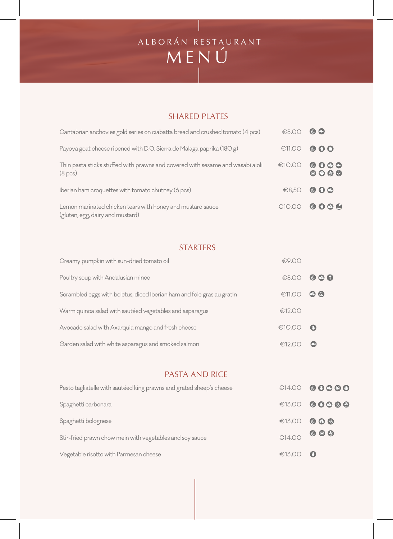## MENÚ ALBORÁN RESTAURANT

### SHARED PLATES

| Cantabrian anchovies gold series on ciabatta bread and crushed tomato (4 pcs)                         | €8,00  | $\bullet$                                                                |
|-------------------------------------------------------------------------------------------------------|--------|--------------------------------------------------------------------------|
| Payoya goat cheese ripened with D.O. Sierra de Malaga paprika (180 g)                                 | €11,00 | $\bullet$ 0 $\bullet$                                                    |
| Thin pasta sticks stuffed with prawns and covered with sesame and wasabi aioli<br>(8 <sub>pcs</sub> ) | €10,00 | 0000<br>$\begin{array}{ccccc} \circ & \circ & \circ & \circ \end{array}$ |
| Iberian ham croquettes with tomato chutney (6 pcs)                                                    |        | €8,50 000                                                                |
| Lemon marinated chicken tears with honey and mustard sauce<br>(gluten, egg, dairy and mustard)        |        | €10,00 0006                                                              |

### STARTERS

| Creamy pumpkin with sun-dried tomato oil                               | €9,00               |                      |
|------------------------------------------------------------------------|---------------------|----------------------|
| Poultry soup with Andalusian mince                                     |                     | $\bigoplus$ 8,00 000 |
| Scrambled eggs with boletus, diced Iberian ham and foie gras au gratin | £11,OO              | $\bullet$            |
| Warm quinoa salad with sautéed vegetables and asparagus                | €12,00              |                      |
| Avocado salad with Axarquia mango and fresh cheese                     | $\bigoplus$ 10,00 0 |                      |
| Garden salad with white asparagus and smoked salmon                    | €12,00              |                      |

### PASTA AND RICE

| Pesto tagliatelle with sautéed king prawns and grated sheep's cheese |                                      | $614,00$ 00000 |
|----------------------------------------------------------------------|--------------------------------------|----------------|
| Spaghetti carbonara                                                  |                                      | €13,00 00000   |
| Spaghetti bolognese                                                  | €13,00 <b>© © ®</b>                  |                |
| Stir-fried prawn chow mein with vegetables and soy sauce             | $\bigoplus_{i=1}^n 14,00$ <b>000</b> |                |
| Vegetable risotto with Parmesan cheese                               | $\bigoplus$ 13,00 0                  |                |